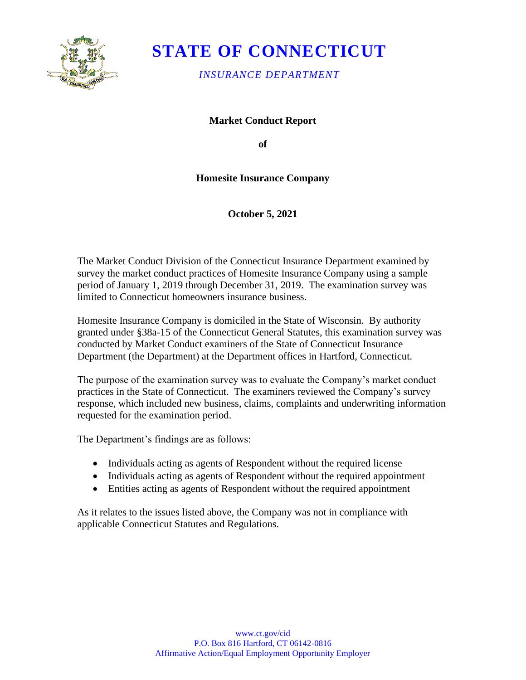

# **STATE OF CONNECTICUT**

*INSURANCE DEPARTMENT*

**Market Conduct Report**

**of** 

### **Homesite Insurance Company**

**October 5, 2021**

The Market Conduct Division of the Connecticut Insurance Department examined by survey the market conduct practices of Homesite Insurance Company using a sample period of January 1, 2019 through December 31, 2019. The examination survey was limited to Connecticut homeowners insurance business.

Homesite Insurance Company is domiciled in the State of Wisconsin. By authority granted under §38a-15 of the Connecticut General Statutes, this examination survey was conducted by Market Conduct examiners of the State of Connecticut Insurance Department (the Department) at the Department offices in Hartford, Connecticut.

The purpose of the examination survey was to evaluate the Company's market conduct practices in the State of Connecticut. The examiners reviewed the Company's survey response, which included new business, claims, complaints and underwriting information requested for the examination period.

The Department's findings are as follows:

- Individuals acting as agents of Respondent without the required license
- Individuals acting as agents of Respondent without the required appointment
- Entities acting as agents of Respondent without the required appointment

As it relates to the issues listed above, the Company was not in compliance with applicable Connecticut Statutes and Regulations.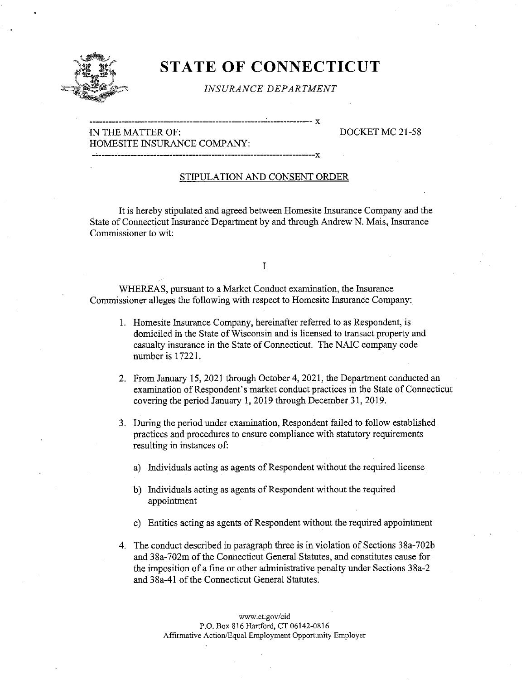

## STATE OF CONNECTICUT

INSURANCE DEPARTMENT

X

#### IN THE MATTER OF: DOCKET MC 21-58 HOMESITE INSURANCE COMPANY:

#### STIPULATION AND CONSENT ORDER

It is hereby stipulated and agreed between Homesite Insurance Company and the State of Connecticut Insurance Department by and through Andrew N. Mais, Insurance Commissioner to wit:

#### I

WHEREAS, pursuant to a Market Conduct examination, the Insurance Commissioner alleges the following with respect to Homesite Insurance Company:

- 1. Homesite Insurance Company, hereinafter referred to as Respondent, is domiciled in the State of Wisconsin and is licensed to transact property and casualty insurance in the State of Connecticut. The NAIC company code number is 17221.
- 2. From January 15, 2021 through October 4, 2021, the Department conducted an examination of Respondent's market conduct practices in the State of Connecticut covering the period January 1, 2019 through December 31, 2019.
- 3. During the period under examination, Respondent failed to follow established practices and procedures to ensure compliance with statutory requirements resulting in instances of:
	- a) Individuals acting as agents of Respondent without the required license
	- b) Individuals acting as agents of Respondent without the required appointment
	- c) Entities acting as agents of Respondent without the required appointment
- 4. The conduct described in paragraph three is in violation of Sections 38a-702b and 38a-702m of the Connecticut General Statutes, and constitutes cause for the imposition of a fine or other administrative penalty under Sections 38a-2 and 38a-41 of the Connecticut General Statutes.

www.ct.gov/cid P.O. Box 816 Hartford, CT 06142-0816 Affirmative Action/Equal Employment Opportunity Employer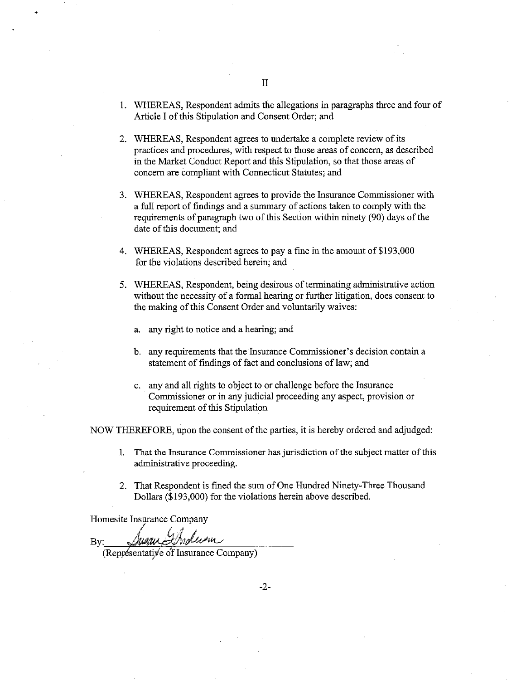- 2. WHEREAS, Respondent agrees to undertake a complete review of its practices and procedures, with respect to those areas of concern, as described in the Market Conduct Report and this Stipulation, so that those areas of concern are compliant with Connecticut Statutes; and
- 3. WHEREAS, Respondent agrees to provide the Insurance Commissioner with a full report of findings and a summary of actions taken to comply with the requirements of paragraph two of this Section within ninety (90) days of the date of this document; and
- 4. WHEREAS, Respondent agrees to pay a fine in the amount of \$193,000 for the violations described herein; and
- 5. WHEREAS, Respondent, being desirous of terminating administrative action without the necessity of a formal hearing or further litigation, does consent to the making of this Consent Order and voluntarily waives:
	- a. any right to notice and a hearing; and
	- b. any requirements that the Insurance Commissioner's decision contain a statement of findings of fact and conclusions of law; and
	- c. any and all rights to object to or challenge before the Insurance Commissioner or in any judicial proceeding any aspect, provision or requirement of this Stipulation

NOW THEREFORE, upon the consent of the parties, it is hereby ordered and adjudged:

- 1. That the Insurance Commissioner has jurisdiction of the subject matter of this administrative proceeding.
- 2. That Respondent is fined the sum of One Hundred Ninety-Three Thousand Dollars (\$193,000) for the violations herein above described.

Homesite Insurance Company

By: Tree June Indusus<br>(Representative of Insurance Company)

 $-2-$